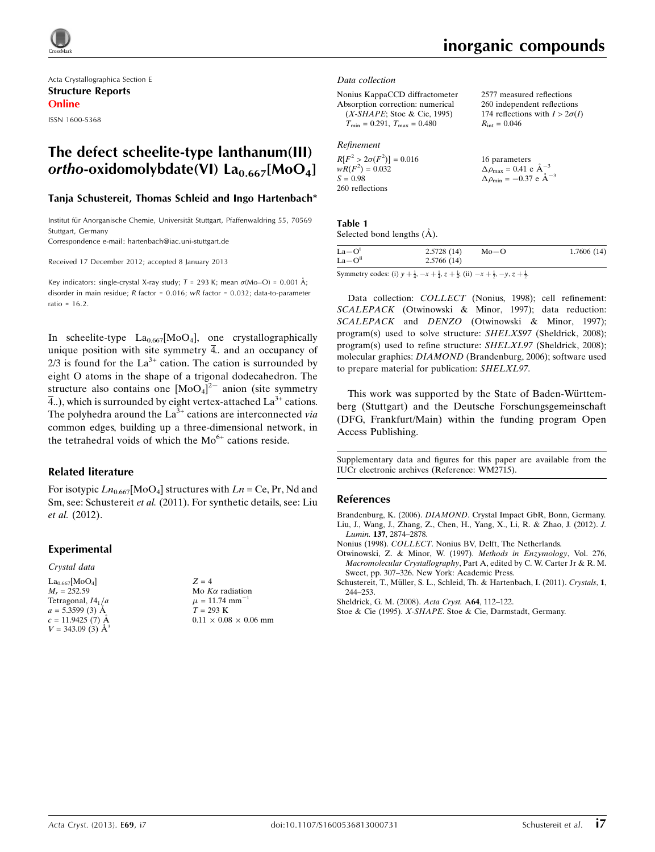

Acta Crystallographica Section E Structure Reports Online ISSN 1600-5368

## The defect scheelite-type lanthanum(III) ortho-oxidomolybdate(VI)  $La<sub>0.667</sub>[MoO<sub>4</sub>]$

### Tanja Schustereit, Thomas Schleid and Ingo Hartenbach\*

Institut für Anorganische Chemie, Universität Stuttgart, Pfaffenwaldring 55, 70569 Stuttgart, Germany

Correspondence e-mail: [hartenbach@iac.uni-stuttgart.de](https://scripts.iucr.org/cgi-bin/cr.cgi?rm=pdfbb&cnor=wm2715&bbid=BB7)

Received 17 December 2012; accepted 8 January 2013

Key indicators: single-crystal X-ray study;  $T$  = 293 K; mean  $\sigma$ (Mo–O) = 0.001 Å; disorder in main residue;  $R$  factor = 0.016;  $wR$  factor = 0.032; data-to-parameter ratio = 16.2.

In scheelite-type  $La_{0.667}$ [MoO<sub>4</sub>], one crystallographically unique position with site symmetry  $\overline{4}$ . and an occupancy of  $2/3$  is found for the La<sup>3+</sup> cation. The cation is surrounded by eight O atoms in the shape of a trigonal dodecahedron. The structure also contains one  $[MoO<sub>4</sub>]<sup>2-</sup>$  anion (site symmetry  $\overline{4}$ ..), which is surrounded by eight vertex-attached La<sup>3+</sup> cations. The polyhedra around the  $La^{3+}$  cations are interconnected via common edges, building up a three-dimensional network, in the tetrahedral voids of which the  $Mo<sup>6+</sup>$  cations reside.

### Related literature

For isotypic  $Ln_{0.667}$ [MoO<sub>4</sub>] structures with  $Ln = Ce$ , Pr, Nd and Sm, see: Schustereit et al. (2011). For synthetic details, see: Liu et al. (2012).

### Experimental

#### Crystal data

 $La_{0.667}$ [MoO<sub>4</sub>]  $M_r = 252.59$ Tetragonal,  $I4_1/a$  $a = 5.3599(3)$  Å  $c = 11.9425$  (7) Å  $V = 343.09$  (3)  $\AA^3$   $Z = 4$ Mo  $K\alpha$  radiation  $\mu = 11.74$  mm<sup>-</sup> 1  $T = 293$  K  $0.11 \times 0.08 \times 0.06$  mm

## inorganic compounds

2577 measured reflections 260 independent reflections 174 reflections with  $I > 2\sigma(I)$ 

 $R_{\text{int}} = 0.046$ 

#### Data collection

Nonius KappaCCD diffractometer Absorption correction: numerical  $(X-SHAPE;$  Stoe & Cie, 1995)  $T_{\text{min}} = 0.291, T_{\text{max}} = 0.480$ 

Refinement

| $R[F^2 > 2\sigma(F^2)] = 0.016$ | 16 parameters                                              |
|---------------------------------|------------------------------------------------------------|
| $wR(F^2) = 0.032$               | $\Delta \rho_{\text{max}} = 0.41 \text{ e} \text{ Å}^{-3}$ |
| $S = 0.98$                      | $\Delta \rho_{\text{min}} = -0.37$ e $\AA^{-3}$            |
| 260 reflections                 |                                                            |

### Table 1 Selected bond lengths  $(A)$ .

| $La-Oi$  | 2.5728(14) | $Mo-O$ | 1.7606(14) |
|----------|------------|--------|------------|
| $La-Oii$ | 2.5766(14) |        |            |

Symmetry codes: (i)  $y + \frac{1}{4}$ ,  $-x + \frac{1}{4}$ ,  $z + \frac{1}{4}$ ; (ii)  $-x + \frac{1}{2}$ ,  $-y$ ,  $z + \frac{1}{2}$ .

Data collection: COLLECT (Nonius, 1998); cell refinement: SCALEPACK (Otwinowski & Minor, 1997); data reduction: SCALEPACK and DENZO (Otwinowski & Minor, 1997); program(s) used to solve structure: SHELXS97 (Sheldrick, 2008); program(s) used to refine structure: SHELXL97 (Sheldrick, 2008); molecular graphics: DIAMOND (Brandenburg, 2006); software used to prepare material for publication: SHELXL97.

This work was supported by the State of Baden-Württemberg (Stuttgart) and the Deutsche Forschungsgemeinschaft (DFG, Frankfurt/Main) within the funding program Open Access Publishing.

Supplementary data and figures for this paper are available from the IUCr electronic archives (Reference: WM2715).

### References

Brandenburg, K. (2006). DIAMOND[. Crystal Impact GbR, Bonn, Germany.](https://scripts.iucr.org/cgi-bin/cr.cgi?rm=pdfbb&cnor=wm2715&bbid=BB1) [Liu, J., Wang, J., Zhang, Z., Chen, H., Yang, X., Li, R. & Zhao, J. \(2012\).](https://scripts.iucr.org/cgi-bin/cr.cgi?rm=pdfbb&cnor=wm2715&bbid=BB2) J. Lumin. 137[, 2874–2878.](https://scripts.iucr.org/cgi-bin/cr.cgi?rm=pdfbb&cnor=wm2715&bbid=BB2)

Nonius (1998). COLLECT[. Nonius BV, Delft, The Netherlands.](https://scripts.iucr.org/cgi-bin/cr.cgi?rm=pdfbb&cnor=wm2715&bbid=BB3)

[Otwinowski, Z. & Minor, W. \(1997\).](https://scripts.iucr.org/cgi-bin/cr.cgi?rm=pdfbb&cnor=wm2715&bbid=BB4) Methods in Enzymology, Vol. 276, Macromolecular Crystallography[, Part A, edited by C. W. Carter Jr & R. M.](https://scripts.iucr.org/cgi-bin/cr.cgi?rm=pdfbb&cnor=wm2715&bbid=BB4) [Sweet, pp. 307–326. New York: Academic Press.](https://scripts.iucr.org/cgi-bin/cr.cgi?rm=pdfbb&cnor=wm2715&bbid=BB4)

Schustereit, T., Müller, S. L., Schleid, Th. & Hartenbach, I. (2011). Crystals, 1, [244–253.](https://scripts.iucr.org/cgi-bin/cr.cgi?rm=pdfbb&cnor=wm2715&bbid=BB5)

[Sheldrick, G. M. \(2008\).](https://scripts.iucr.org/cgi-bin/cr.cgi?rm=pdfbb&cnor=wm2715&bbid=BB6) Acta Cryst. A64, 112–122.

Stoe & Cie (1995). X-SHAPE[. Stoe & Cie, Darmstadt, Germany.](https://scripts.iucr.org/cgi-bin/cr.cgi?rm=pdfbb&cnor=wm2715&bbid=BB7)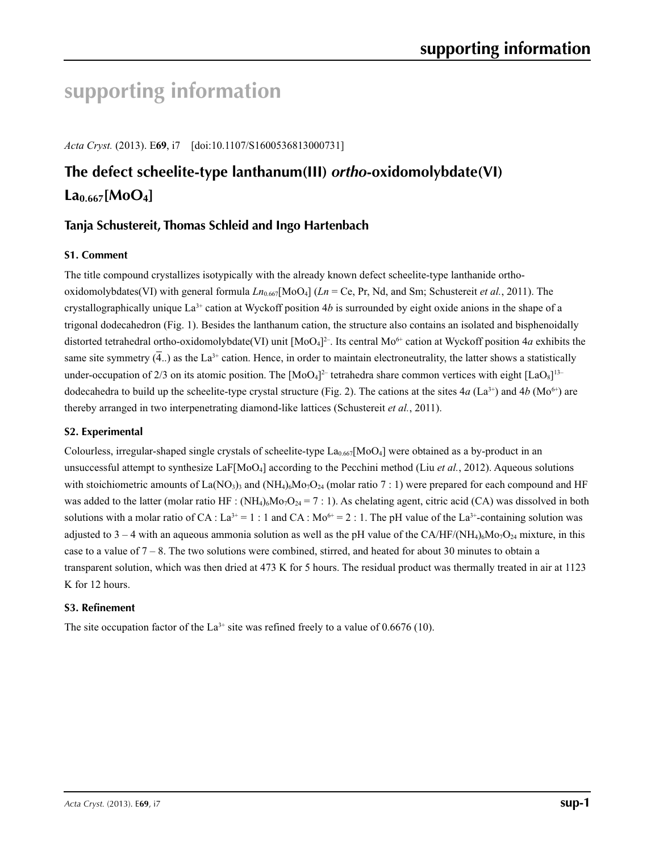# **supporting information**

*Acta Cryst.* (2013). E**69**, i7 [doi:10.1107/S1600536813000731]

# **The defect scheelite-type lanthanum(III)** *ortho***-oxidomolybdate(VI)**   $La_{0.667}$ [MoO<sub>4</sub>]

## **Tanja Schustereit, Thomas Schleid and Ingo Hartenbach**

## **S1. Comment**

The title compound crystallizes isotypically with the already known defect scheelite-type lanthanide orthooxidomolybdates(VI) with general formula *Ln*0.667[MoO4] (*Ln* = Ce, Pr, Nd, and Sm; Schustereit *et al.*, 2011). The crystallographically unique La<sup>3+</sup> cation at Wyckoff position 4*b* is surrounded by eight oxide anions in the shape of a trigonal dodecahedron (Fig. 1). Besides the lanthanum cation, the structure also contains an isolated and bisphenoidally distorted tetrahedral ortho-oxidomolybdate(VI) unit  $[MoO<sub>4</sub>]<sup>2</sup>$ . Its central Mo<sup>6+</sup> cation at Wyckoff position 4*a* exhibits the same site symmetry  $(\overline{4})$  as the La<sup>3+</sup> cation. Hence, in order to maintain electroneutrality, the latter shows a statistically under-occupation of 2/3 on its atomic position. The  $[MoO<sub>4</sub>]<sup>2–</sup>$  tetrahedra share common vertices with eight  $[LaO<sub>8</sub>]<sup>13–</sup>$ dodecahedra to build up the scheelite-type crystal structure (Fig. 2). The cations at the sites  $4a$  (La<sup>3+</sup>) and  $4b$  (Mo<sup>6+</sup>) are thereby arranged in two interpenetrating diamond-like lattices (Schustereit *et al.*, 2011).

## **S2. Experimental**

Colourless, irregular-shaped single crystals of scheelite-type  $La_{0.667}[MoO<sub>4</sub>]$  were obtained as a by-product in an unsuccessful attempt to synthesize LaF[MoO4] according to the Pecchini method (Liu *et al.*, 2012). Aqueous solutions with stoichiometric amounts of La(NO<sub>3</sub>)<sub>3</sub> and (NH<sub>4</sub>)<sub>6</sub>Mo<sub>7</sub>O<sub>24</sub> (molar ratio 7 : 1) were prepared for each compound and HF was added to the latter (molar ratio HF :  $(NH_4)_6M_0+O_{24} = 7:1$ ). As chelating agent, citric acid (CA) was dissolved in both solutions with a molar ratio of CA : La<sup>3+</sup> = 1 : 1 and CA : Mo<sup>6+</sup> = 2 : 1. The pH value of the La<sup>3+</sup>-containing solution was adjusted to 3 – 4 with an aqueous ammonia solution as well as the pH value of the CA/HF/(NH<sub>4)6</sub>Mo<sub>7</sub>O<sub>24</sub> mixture, in this case to a value of 7 – 8. The two solutions were combined, stirred, and heated for about 30 minutes to obtain a transparent solution, which was then dried at 473 K for 5 hours. The residual product was thermally treated in air at 1123 K for 12 hours.

## **S3. Refinement**

The site occupation factor of the  $La^{3+}$  site was refined freely to a value of 0.6676 (10).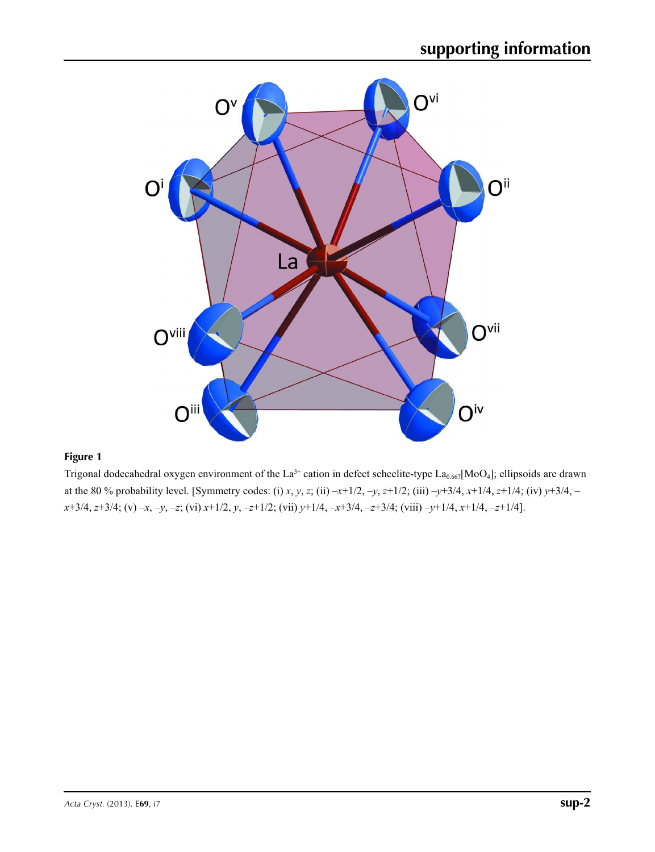

## **Figure 1**

Trigonal dodecahedral oxygen environment of the La<sup>3+</sup> cation in defect scheelite-type La<sub>0.667</sub>[MoO<sub>4</sub>]; ellipsoids are drawn at the 80 % probability level. [Symmetry codes: (i) *x*, *y*, *z*; (ii)  $-x+1/2$ ,  $-y$ ,  $z+1/2$ ; (iii)  $-y+3/4$ ,  $x+1/4$ ,  $z+1/4$ ; (iv)  $y+3/4$ , – *x*+3/4, *z*+3/4; (v) –*x*, –*y*, –*z*; (vi) *x*+1/2, *y*, –*z*+1/2; (vii) *y*+1/4, –*x*+3/4, –*z*+3/4; (viii) –*y*+1/4, *x*+1/4, –*z*+1/4].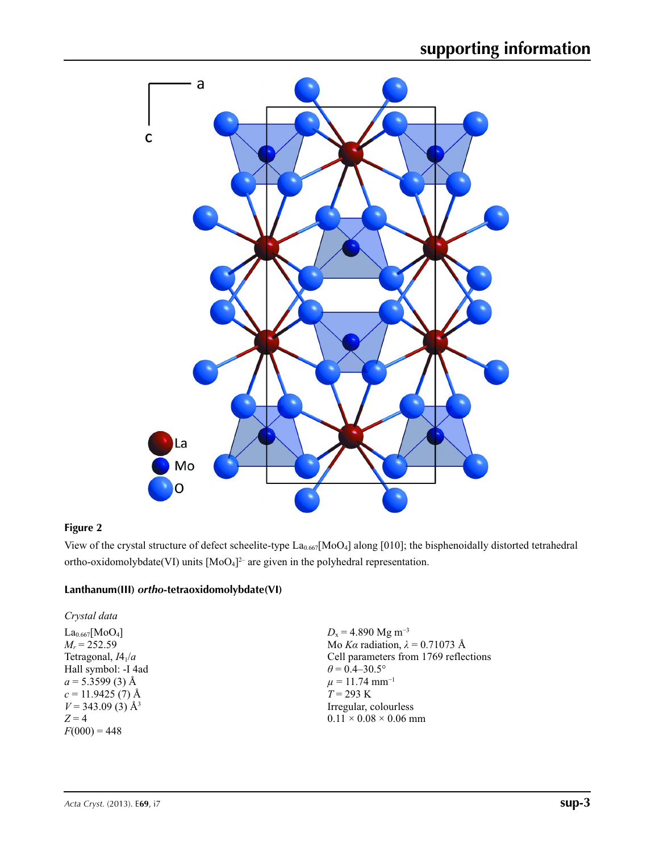

## **Figure 2**

View of the crystal structure of defect scheelite-type La<sub>0.667</sub>[MoO<sub>4</sub>] along [010]; the bisphenoidally distorted tetrahedral ortho-oxidomolybdate(VI) units  $[MoO<sub>4</sub>]<sup>2-</sup>$  are given in the polyhedral representation.

## **Lanthanum(III)** *ortho***-tetraoxidomolybdate(VI)**

*Crystal data*  $La<sub>0.667</sub>[MoO<sub>4</sub>]$  $M_r = 252.59$ Tetragonal, *I*41/*a* Hall symbol: -I 4ad  $a = 5.3599(3)$  Å  $c = 11.9425(7)$  Å  $V = 343.09(3)$  Å<sup>3</sup>  $Z = 4$  $F(000) = 448$ 

 $D_x = 4.890$  Mg m<sup>-3</sup> Mo *Kα* radiation, *λ* = 0.71073 Å Cell parameters from 1769 reflections  $\theta$  = 0.4–30.5°  $\mu = 11.74$  mm<sup>-1</sup> *T* = 293 K Irregular, colourless  $0.11 \times 0.08 \times 0.06$  mm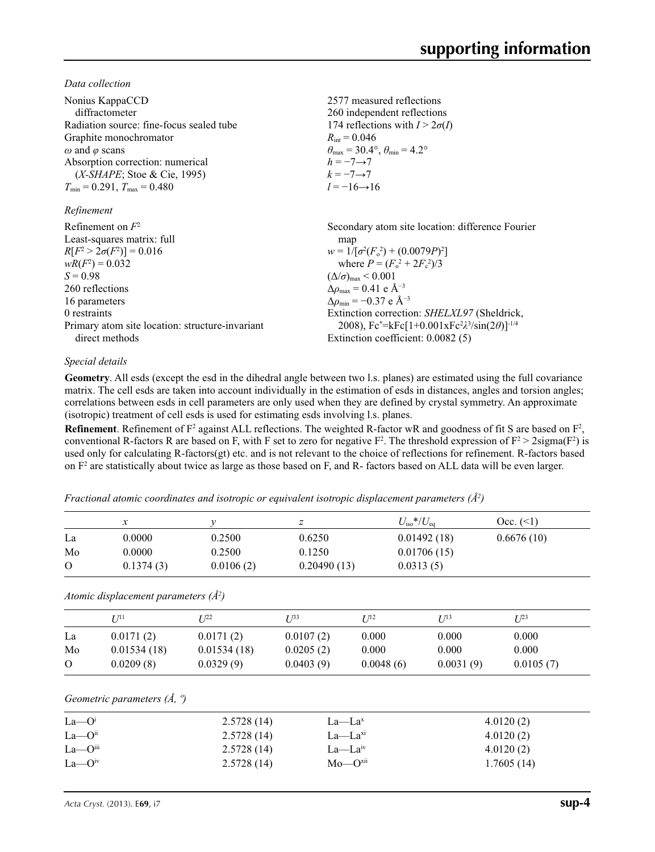*Data collection*

| Nonius KappaCCD<br>diffractometer<br>Radiation source: fine-focus sealed tube<br>Graphite monochromator<br>$\omega$ and $\varphi$ scans<br>Absorption correction: numerical<br>$(X-SHAPE;$ Stoe & Cie, 1995)<br>$T_{\min}$ = 0.291, $T_{\max}$ = 0.480<br>Refinement | 2577 measured reflections<br>260 independent reflections<br>174 reflections with $I > 2\sigma(I)$<br>$R_{\rm int} = 0.046$<br>$\theta_{\rm max}$ = 30.4°, $\theta_{\rm min}$ = 4.2°<br>$h = -7 \rightarrow 7$<br>$k=-7 \rightarrow 7$<br>$l = -16 \rightarrow 16$ |
|----------------------------------------------------------------------------------------------------------------------------------------------------------------------------------------------------------------------------------------------------------------------|-------------------------------------------------------------------------------------------------------------------------------------------------------------------------------------------------------------------------------------------------------------------|
| Refinement on $F^2$                                                                                                                                                                                                                                                  | Secondary atom site location: difference Fourier                                                                                                                                                                                                                  |
| Least-squares matrix: full                                                                                                                                                                                                                                           | map                                                                                                                                                                                                                                                               |
| $R[F^2 > 2\sigma(F^2)] = 0.016$                                                                                                                                                                                                                                      | $w = 1/[\sigma^2(F_0^2) + (0.0079P)^2]$                                                                                                                                                                                                                           |
| $wR(F^2) = 0.032$                                                                                                                                                                                                                                                    | where $P = (F_0^2 + 2F_c^2)/3$                                                                                                                                                                                                                                    |
| $S = 0.98$                                                                                                                                                                                                                                                           | $(\Delta/\sigma)_{\text{max}}$ < 0.001                                                                                                                                                                                                                            |
| 260 reflections                                                                                                                                                                                                                                                      | $\Delta\rho_{\text{max}} = 0.41$ e Å <sup>-3</sup>                                                                                                                                                                                                                |
| 16 parameters                                                                                                                                                                                                                                                        | $\Delta\rho_{\rm min} = -0.37$ e Å <sup>-3</sup>                                                                                                                                                                                                                  |
| 0 restraints                                                                                                                                                                                                                                                         | Extinction correction: <i>SHELXL97</i> (Sheldrick,                                                                                                                                                                                                                |
| Primary atom site location: structure-invariant                                                                                                                                                                                                                      | 2008), Fc*=kFc[1+0.001xFc <sup>2</sup> $\lambda$ <sup>3</sup> /sin(2 $\theta$ )] <sup>-1/4</sup>                                                                                                                                                                  |
| direct methods                                                                                                                                                                                                                                                       | Extinction coefficient: 0.0082 (5)                                                                                                                                                                                                                                |

### *Special details*

**Geometry**. All esds (except the esd in the dihedral angle between two l.s. planes) are estimated using the full covariance matrix. The cell esds are taken into account individually in the estimation of esds in distances, angles and torsion angles; correlations between esds in cell parameters are only used when they are defined by crystal symmetry. An approximate (isotropic) treatment of cell esds is used for estimating esds involving l.s. planes.

**Refinement**. Refinement of  $F^2$  against ALL reflections. The weighted R-factor wR and goodness of fit S are based on  $F^2$ , conventional R-factors R are based on F, with F set to zero for negative  $F^2$ . The threshold expression of  $F^2 > 2 \text{sigma}(F^2)$  is used only for calculating R-factors(gt) etc. and is not relevant to the choice of reflections for refinement. R-factors based on  $F<sup>2</sup>$  are statistically about twice as large as those based on F, and R- factors based on ALL data will be even larger.

*Fractional atomic coordinates and isotropic or equivalent isotropic displacement parameters (Å2 )*

|                           | $\mathcal{X}$                            | $\mathcal V$ | $\boldsymbol{z}$        | $U_{\rm iso}*/U_{\rm eq}$ |             | Occ. (2)          |
|---------------------------|------------------------------------------|--------------|-------------------------|---------------------------|-------------|-------------------|
| La                        | 0.0000                                   | 0.2500       | 0.6250                  |                           | 0.01492(18) | 0.6676(10)        |
| Mo                        | 0.0000                                   | 0.2500       | 0.1250                  |                           | 0.01706(15) |                   |
| $\Omega$                  | 0.1374(3)                                | 0.0106(2)    | 0.20490(13)             | 0.0313(5)                 |             |                   |
|                           | Atomic displacement parameters $(\AA^2)$ |              |                         |                           |             |                   |
|                           | $U^{11}$                                 | $L^{22}$     | $\mathcal{L}^{\beta 3}$ | $U^{12}$                  | $U^{13}$    | $\mathbb{Z}^{23}$ |
| La                        | 0.0171(2)                                | 0.0171(2)    | 0.0107(2)               | 0.000                     | 0.000       | 0.000             |
| Mo                        | 0.01534(18)                              | 0.01534(18)  | 0.0205(2)               | 0.000                     | 0.000       | 0.000             |
| $\Omega$                  | 0.0209(8)                                | 0.0329(9)    | 0.0403(9)               | 0.0048(6)                 | 0.0031(9)   | 0.0105(7)         |
|                           | Geometric parameters $(\AA, \degree)$    |              |                         |                           |             |                   |
| $La$ — $Oi$               |                                          | 2.5728(14)   | La—La <sup>x</sup>      |                           |             | 4.0120(2)         |
| $La$ — $Oii$              |                                          | 2.5728(14)   | La—La <sup>xi</sup>     |                           |             | 4.0120(2)         |
| $La$ - $O$ <sup>iii</sup> |                                          | 2.5728(14)   | La—La <sup>iv</sup>     |                           |             | 4.0120(2)         |

 $\rm La$ —O<sup>iv</sup> 2.5728 (14)  $\rm Mo$ —O<sup>xii</sup> 1.7605 (14)